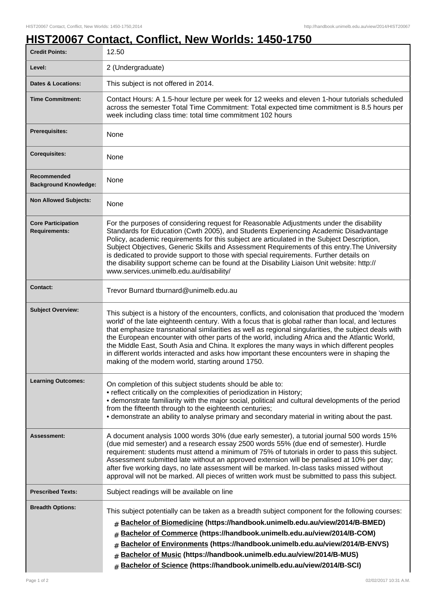## **HIST20067 Contact, Conflict, New Worlds: 1450-1750**

| <b>Credit Points:</b>                             | 12.50                                                                                                                                                                                                                                                                                                                                                                                                                                                                                                                                                                                                                                                               |
|---------------------------------------------------|---------------------------------------------------------------------------------------------------------------------------------------------------------------------------------------------------------------------------------------------------------------------------------------------------------------------------------------------------------------------------------------------------------------------------------------------------------------------------------------------------------------------------------------------------------------------------------------------------------------------------------------------------------------------|
| Level:                                            | 2 (Undergraduate)                                                                                                                                                                                                                                                                                                                                                                                                                                                                                                                                                                                                                                                   |
| Dates & Locations:                                | This subject is not offered in 2014.                                                                                                                                                                                                                                                                                                                                                                                                                                                                                                                                                                                                                                |
| <b>Time Commitment:</b>                           | Contact Hours: A 1.5-hour lecture per week for 12 weeks and eleven 1-hour tutorials scheduled<br>across the semester Total Time Commitment: Total expected time commitment is 8.5 hours per<br>week including class time: total time commitment 102 hours                                                                                                                                                                                                                                                                                                                                                                                                           |
| Prerequisites:                                    | None                                                                                                                                                                                                                                                                                                                                                                                                                                                                                                                                                                                                                                                                |
| <b>Corequisites:</b>                              | None                                                                                                                                                                                                                                                                                                                                                                                                                                                                                                                                                                                                                                                                |
| Recommended<br><b>Background Knowledge:</b>       | None                                                                                                                                                                                                                                                                                                                                                                                                                                                                                                                                                                                                                                                                |
| <b>Non Allowed Subjects:</b>                      | None                                                                                                                                                                                                                                                                                                                                                                                                                                                                                                                                                                                                                                                                |
| <b>Core Participation</b><br><b>Requirements:</b> | For the purposes of considering request for Reasonable Adjustments under the disability<br>Standards for Education (Cwth 2005), and Students Experiencing Academic Disadvantage<br>Policy, academic requirements for this subject are articulated in the Subject Description,<br>Subject Objectives, Generic Skills and Assessment Requirements of this entry. The University<br>is dedicated to provide support to those with special requirements. Further details on<br>the disability support scheme can be found at the Disability Liaison Unit website: http://<br>www.services.unimelb.edu.au/disability/                                                    |
| <b>Contact:</b>                                   | Trevor Burnard tburnard@unimelb.edu.au                                                                                                                                                                                                                                                                                                                                                                                                                                                                                                                                                                                                                              |
| <b>Subject Overview:</b>                          | This subject is a history of the encounters, conflicts, and colonisation that produced the 'modern<br>world' of the late eighteenth century. With a focus that is global rather than local, and lectures<br>that emphasize transnational similarities as well as regional singularities, the subject deals with<br>the European encounter with other parts of the world, including Africa and the Atlantic World,<br>the Middle East, South Asia and China. It explores the many ways in which different peoples<br>in different worlds interacted and asks how important these encounters were in shaping the<br>making of the modern world, starting around 1750. |
| <b>Learning Outcomes:</b>                         | On completion of this subject students should be able to:<br>• reflect critically on the complexities of periodization in History;<br>• demonstrate familiarity with the major social, political and cultural developments of the period<br>from the fifteenth through to the eighteenth centuries;<br>• demonstrate an ability to analyse primary and secondary material in writing about the past.                                                                                                                                                                                                                                                                |
| Assessment:                                       | A document analysis 1000 words 30% (due early semester), a tutorial journal 500 words 15%<br>(due mid semester) and a research essay 2500 words 55% (due end of semester). Hurdle<br>requirement: students must attend a minimum of 75% of tutorials in order to pass this subject.<br>Assessment submitted late without an approved extension will be penalised at 10% per day;<br>after five working days, no late assessment will be marked. In-class tasks missed without<br>approval will not be marked. All pieces of written work must be submitted to pass this subject.                                                                                    |
| <b>Prescribed Texts:</b>                          | Subject readings will be available on line                                                                                                                                                                                                                                                                                                                                                                                                                                                                                                                                                                                                                          |
| <b>Breadth Options:</b>                           | This subject potentially can be taken as a breadth subject component for the following courses:<br>Bachelor of Biomedicine (https://handbook.unimelb.edu.au/view/2014/B-BMED)<br>#<br>Bachelor of Commerce (https://handbook.unimelb.edu.au/view/2014/B-COM)<br>#<br>Bachelor of Environments (https://handbook.unimelb.edu.au/view/2014/B-ENVS)<br>#<br>Bachelor of Music (https://handbook.unimelb.edu.au/view/2014/B-MUS)<br>#<br>Bachelor of Science (https://handbook.unimelb.edu.au/view/2014/B-SCI)<br>#                                                                                                                                                     |